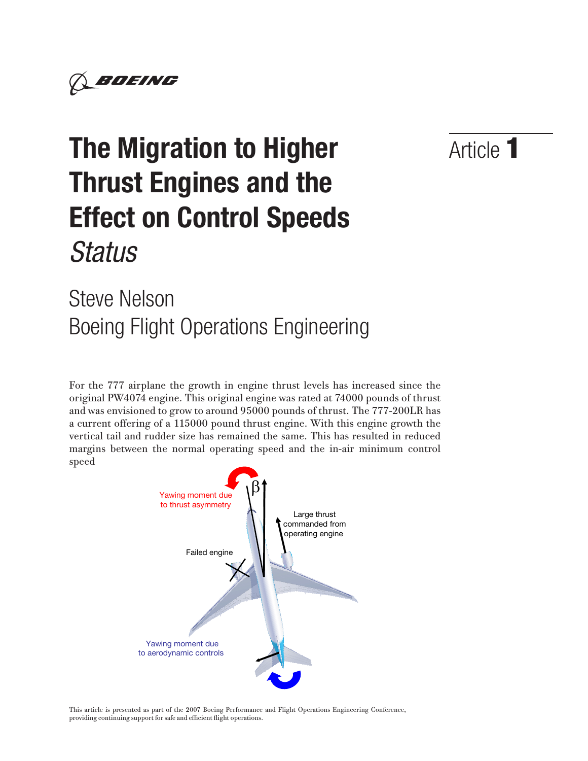

# Article 1

# **The Migration to Higher Thrust Engines and the Effect on Control Speeds**  *Status*

# Steve Nelson Boeing Flight Operations Engineering

For the 777 airplane the growth in engine thrust levels has increased since the original PW4074 engine. This original engine was rated at 74000 pounds of thrust and was envisioned to grow to around 95000 pounds of thrust. The 777-200LR has a current offering of a 115000 pound thrust engine. With this engine growth the vertical tail and rudder size has remained the same. This has resulted in reduced margins between the normal operating speed and the in-air minimum control speed



This article is presented as part of the 2007 Boeing Performance and Flight Operations Engineering Conference, providing continuing support for safe and efficient flight operations.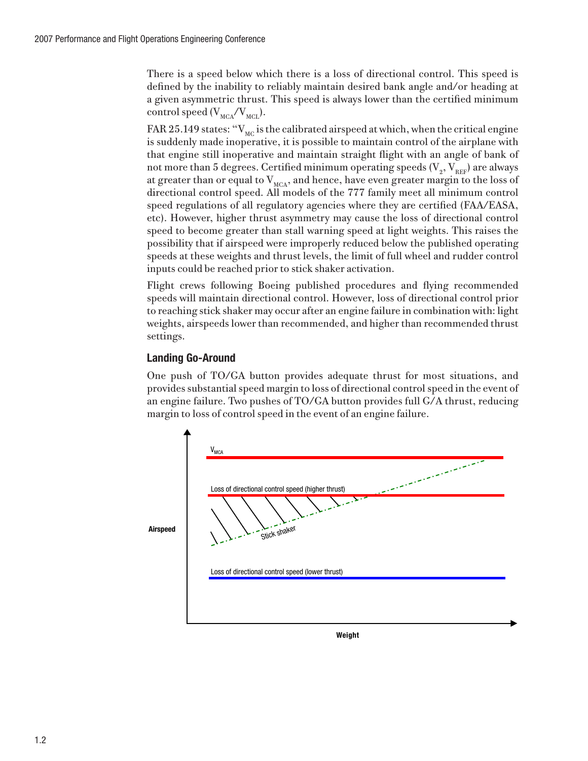There is a speed below which there is a loss of directional control. This speed is defined by the inability to reliably maintain desired bank angle and/or heading at a given asymmetric thrust. This speed is always lower than the certified minimum control speed  $(V_{\text{MCA}}/V_{\text{MCL}})$ .

FAR 25.149 states: " $V_{MC}$  is the calibrated airspeed at which, when the critical engine is suddenly made inoperative, it is possible to maintain control of the airplane with that engine still inoperative and maintain straight flight with an angle of bank of not more than 5 degrees. Certified minimum operating speeds (V<sub>2</sub>, V<sub>REF</sub>) are always at greater than or equal to  $V_{\text{MCA}}$ , and hence, have even greater margin to the loss of directional control speed. All models of the 777 family meet all minimum control speed regulations of all regulatory agencies where they are certified (FAA/EASA, etc). However, higher thrust asymmetry may cause the loss of directional control speed to become greater than stall warning speed at light weights. This raises the possibility that if airspeed were improperly reduced below the published operating speeds at these weights and thrust levels, the limit of full wheel and rudder control inputs could be reached prior to stick shaker activation.

Flight crews following Boeing published procedures and flying recommended speeds will maintain directional control. However, loss of directional control prior to reaching stick shaker may occur after an engine failure in combination with: light weights, airspeeds lower than recommended, and higher than recommended thrust settings.

# **Landing Go-Around**

One push of TO/GA button provides adequate thrust for most situations, and provides substantial speed margin to loss of directional control speed in the event of an engine failure. Two pushes of TO/GA button provides full G/A thrust, reducing margin to loss of control speed in the event of an engine failure.



**Weight**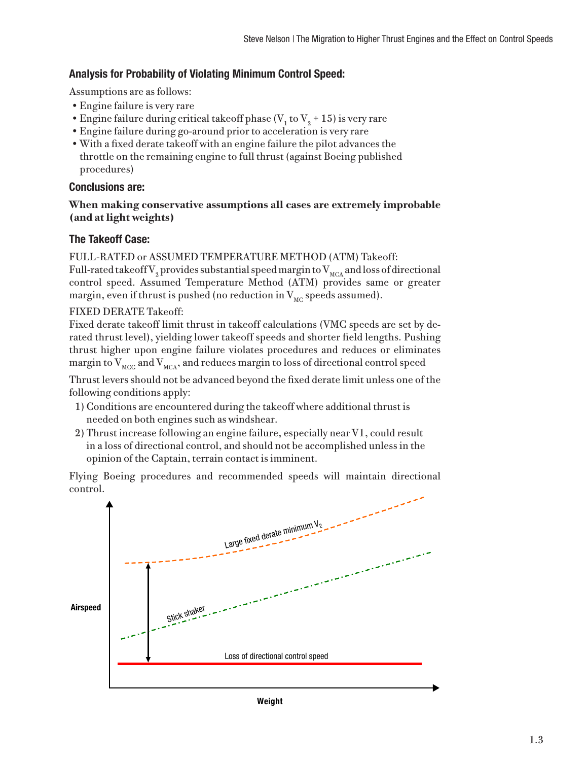# **Analysis for Probability of Violating Minimum Control Speed:**

Assumptions are as follows:

- •Engine failure is very rare
- Engine failure during critical takeoff phase ( $V_1$  to  $V_2$  + 15) is very rare
- •Engine failure during go-around prior to acceleration is very rare
- •With a fixed derate takeoff with an engine failure the pilot advances the throttle on the remaining engine to full thrust (against Boeing published procedures)

#### **Conclusions are:**

#### **When making conservative assumptions all cases are extremely improbable (and at light weights)**

# **The Takeoff Case:**

FULL-RATED or ASSUMED TEMPERATURE METHOD (ATM) Takeoff: Full-rated takeoff  $\rm V_2$  provides substantial speed margin to  $\rm V_{\rm MCA}$  and loss of directional control speed. Assumed Temperature Method (ATM) provides same or greater margin, even if thrust is pushed (no reduction in  $V_{MC}$  speeds assumed).

### FIXED DERATE Takeoff:

Fixed derate takeoff limit thrust in takeoff calculations (VMC speeds are set by derated thrust level), yielding lower takeoff speeds and shorter field lengths. Pushing thrust higher upon engine failure violates procedures and reduces or eliminates margin to  $V_{\text{MCG}}$  and  $V_{\text{MCA}}$ , and reduces margin to loss of directional control speed

Thrust levers should not be advanced beyond the fixed derate limit unless one of the following conditions apply:

- 1) Conditions are encountered during the takeoff where additional thrust is needed on both engines such as windshear.
- 2) Thrust increase following an engine failure, especially near V1, could result in a loss of directional control, and should not be accomplished unless in the opinion of the Captain, terrain contact is imminent.

Flying Boeing procedures and recommended speeds will maintain directional control.



**Weight**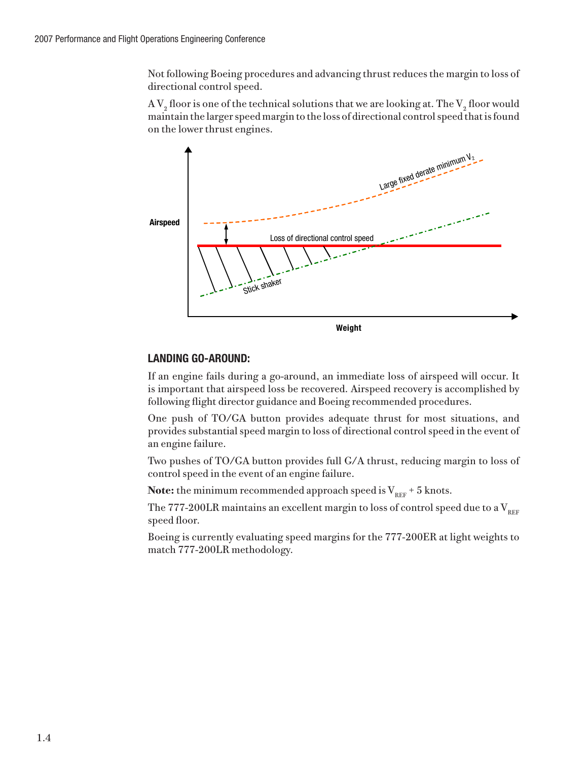Not following Boeing procedures and advancing thrust reduces the margin to loss of directional control speed.

A  $\rm V_2$  floor is one of the technical solutions that we are looking at. The  $\rm V_2$  floor would maintain the larger speed margin to the loss of directional control speed that is found on the lower thrust engines.



# **LANDING GO-AROUND:**

If an engine fails during a go-around, an immediate loss of airspeed will occur. It is important that airspeed loss be recovered. Airspeed recovery is accomplished by following flight director guidance and Boeing recommended procedures.

One push of TO/GA button provides adequate thrust for most situations, and provides substantial speed margin to loss of directional control speed in the event of an engine failure.

Two pushes of TO/GA button provides full G/A thrust, reducing margin to loss of control speed in the event of an engine failure.

**Note:** the minimum recommended approach speed is  $V_{REF}$  + 5 knots.

The 777-200LR maintains an excellent margin to loss of control speed due to a  $V_{BEF}$ speed floor.

Boeing is currently evaluating speed margins for the 777-200ER at light weights to match 777-200LR methodology.